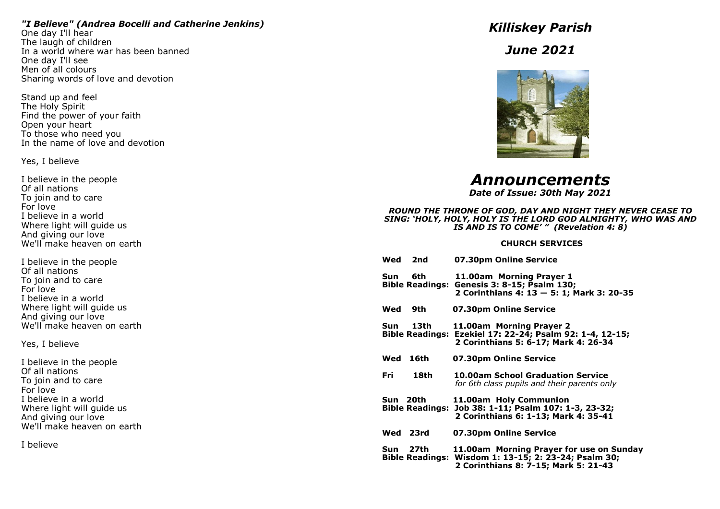### *"I Believe" (Andrea Bocelli and Catherine Jenkins)*

One day I'll hear The laugh of children In a world where war has been banned One day I'll see Men of all colours Sharing words of love and devotion

Stand up and feel The Holy Spirit Find the power of your faith Open your heart To those who need you In the name of love and devotion

Yes, I believe

I believe in the people Of all nations To join and to care For love I believe in a world Where light will guide us And giving our love We'll make heaven on earth

I believe in the people Of all nations To join and to care For love I believe in a world Where light will guide us And giving our love We'll make heaven on earth

Yes, I believe

I believe in the people Of all nations To join and to care For love I believe in a world Where light will guide us And giving our love We'll make heaven on earth

I believe

*Killiskey Parish*

*June 2021*



*Announcements*

*Date of Issue: 30th May 2021*

#### *ROUND THE THRONE OF GOD, DAY AND NIGHT THEY NEVER CEASE TO SING: 'HOLY, HOLY, HOLY IS THE LORD GOD ALMIGHTY, WHO WAS AND IS AND IS TO COME' " (Revelation 4: 8)*

#### **CHURCH SERVICES**

| Wed | 2nd      | 07.30pm Online Service                                                                                                                   |
|-----|----------|------------------------------------------------------------------------------------------------------------------------------------------|
| Sun | 6th      | 11.00am Morning Prayer 1<br>Bible Readings: Genesis 3: 8-15; Psalm 130;<br>2 Corinthians 4: 13 - 5: 1; Mark 3: 20-35                     |
| Wed | 9th l    | 07.30pm Online Service                                                                                                                   |
| Sun | 13th     | 11.00am Morning Prayer 2<br>Bible Readings: Ezekiel 17: 22-24; Psalm 92: 1-4, 12-15;<br>2 Corinthians 5: 6-17; Mark 4: 26-34             |
| Wed | 16th     | 07.30pm Online Service                                                                                                                   |
| Fri | 18th     | <b>10.00am School Graduation Service</b><br>for 6th class pupils and their parents only                                                  |
|     | Sun 20th | 11.00am Holy Communion<br>Bible Readings: Job 38: 1-11; Psalm 107: 1-3, 23-32;<br>2 Corinthians 6: 1-13; Mark 4: 35-41                   |
|     | Wed 23rd | 07.30pm Online Service                                                                                                                   |
|     | Sun 27th | 11.00am Morning Prayer for use on Sunday<br>Bible Readings: Wisdom 1: 13-15; 2: 23-24; Psalm 30;<br>2 Corinthians 8: 7-15; Mark 5: 21-43 |